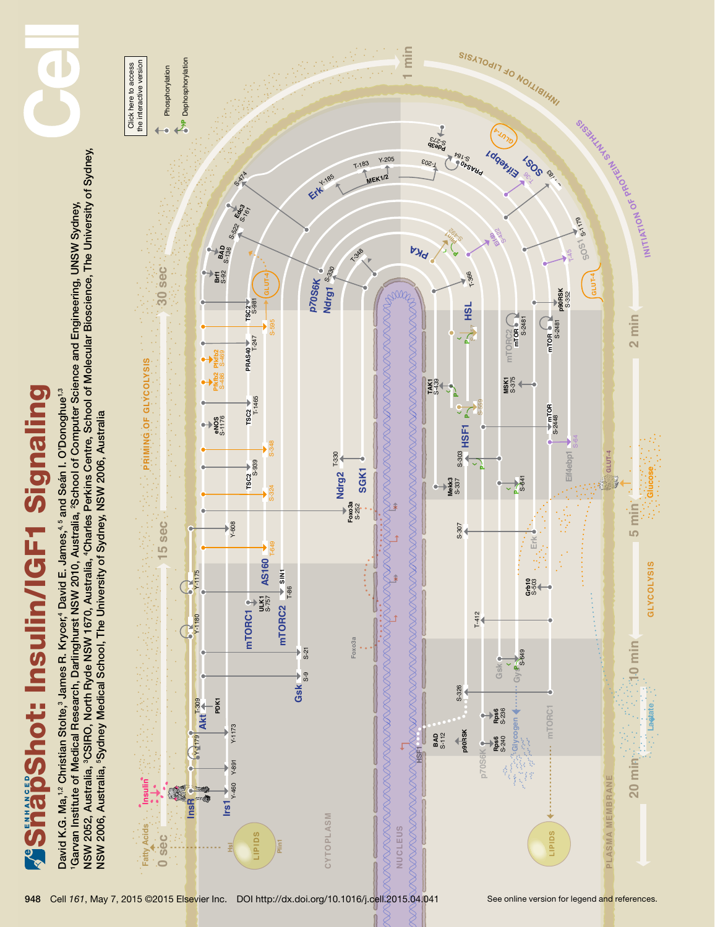

1Garvan Institute of Medical Research, Darlinghurst NSW 2010, Australia, 2School of Computer Science and Engineering, UNSW Sydney,